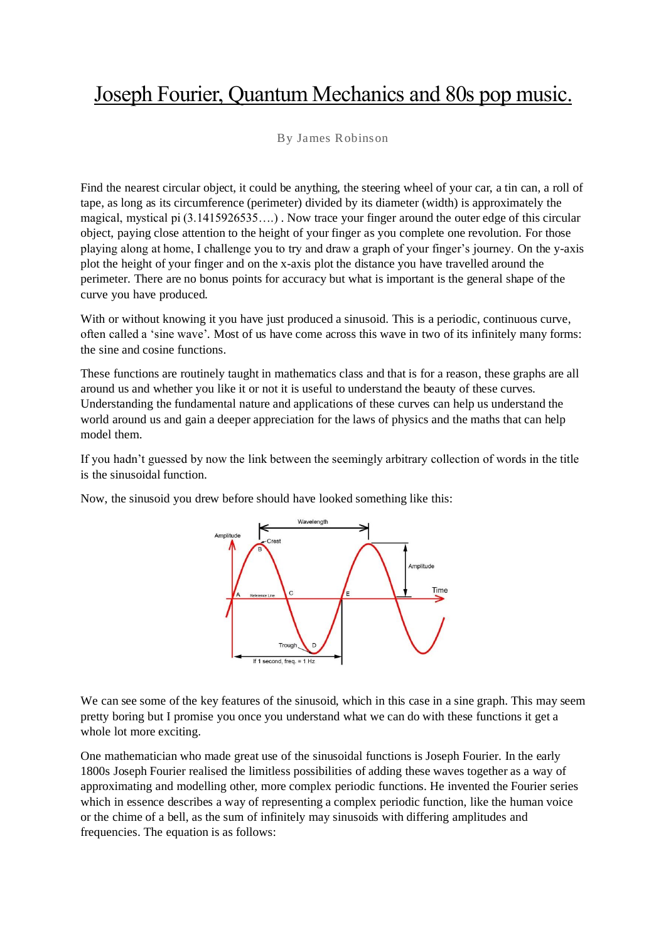## Joseph Fourier, Quantum Mechanics and 80s pop music.

## By James Robinson

Find the nearest circular object, it could be anything, the steering wheel of your car, a tin can, a roll of tape, as long as its circumference (perimeter) divided by its diameter (width) is approximately the magical, mystical pi (3.1415926535….) . Now trace your finger around the outer edge of this circular object, paying close attention to the height of your finger as you complete one revolution. For those playing along at home, I challenge you to try and draw a graph of your finger's journey. On the y-axis plot the height of your finger and on the x-axis plot the distance you have travelled around the perimeter. There are no bonus points for accuracy but what is important is the general shape of the curve you have produced.

With or without knowing it you have just produced a sinusoid. This is a periodic, continuous curve, often called a 'sine wave'. Most of us have come across this wave in two of its infinitely many forms: the sine and cosine functions.

These functions are routinely taught in mathematics class and that is for a reason, these graphs are all around us and whether you like it or not it is useful to understand the beauty of these curves. Understanding the fundamental nature and applications of these curves can help us understand the world around us and gain a deeper appreciation for the laws of physics and the maths that can help model them.

If you hadn't guessed by now the link between the seemingly arbitrary collection of words in the title is the sinusoidal function.

Now, the sinusoid you drew before should have looked something like this:



We can see some of the key features of the sinusoid, which in this case in a sine graph. This may seem pretty boring but I promise you once you understand what we can do with these functions it get a whole lot more exciting.

One mathematician who made great use of the sinusoidal functions is Joseph Fourier. In the early 1800s Joseph Fourier realised the limitless possibilities of adding these waves together as a way of approximating and modelling other, more complex periodic functions. He invented the Fourier series which in essence describes a way of representing a complex periodic function, like the human voice or the chime of a bell, as the sum of infinitely may sinusoids with differing amplitudes and frequencies. The equation is as follows: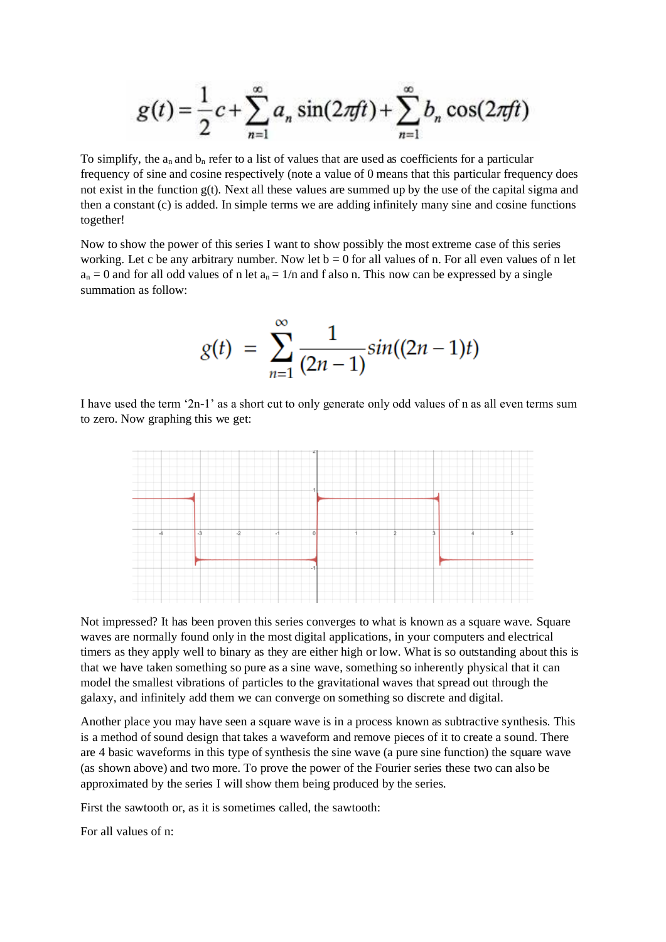$$
g(t) = \frac{1}{2}c + \sum_{n=1}^{\infty} a_n \sin(2\pi ft) + \sum_{n=1}^{\infty} b_n \cos(2\pi ft)
$$

To simplify, the  $a_n$  and  $b_n$  refer to a list of values that are used as coefficients for a particular frequency of sine and cosine respectively (note a value of 0 means that this particular frequency does not exist in the function g(t). Next all these values are summed up by the use of the capital sigma and then a constant (c) is added. In simple terms we are adding infinitely many sine and cosine functions together!

Now to show the power of this series I want to show possibly the most extreme case of this series working. Let c be any arbitrary number. Now let  $b = 0$  for all values of n. For all even values of n let  $a_n = 0$  and for all odd values of n let  $a_n = 1/n$  and f also n. This now can be expressed by a single summation as follow:

$$
g(t) = \sum_{n=1}^{\infty} \frac{1}{(2n-1)} sin((2n-1)t)
$$

I have used the term '2n-1' as a short cut to only generate only odd values of n as all even terms sum to zero. Now graphing this we get:



Not impressed? It has been proven this series converges to what is known as a square wave. Square waves are normally found only in the most digital applications, in your computers and electrical timers as they apply well to binary as they are either high or low. What is so outstanding about this is that we have taken something so pure as a sine wave, something so inherently physical that it can model the smallest vibrations of particles to the gravitational waves that spread out through the galaxy, and infinitely add them we can converge on something so discrete and digital.

Another place you may have seen a square wave is in a process known as subtractive synthesis. This is a method of sound design that takes a waveform and remove pieces of it to create a sound. There are 4 basic waveforms in this type of synthesis the sine wave (a pure sine function) the square wave (as shown above) and two more. To prove the power of the Fourier series these two can also be approximated by the series I will show them being produced by the series.

First the sawtooth or, as it is sometimes called, the sawtooth:

For all values of n: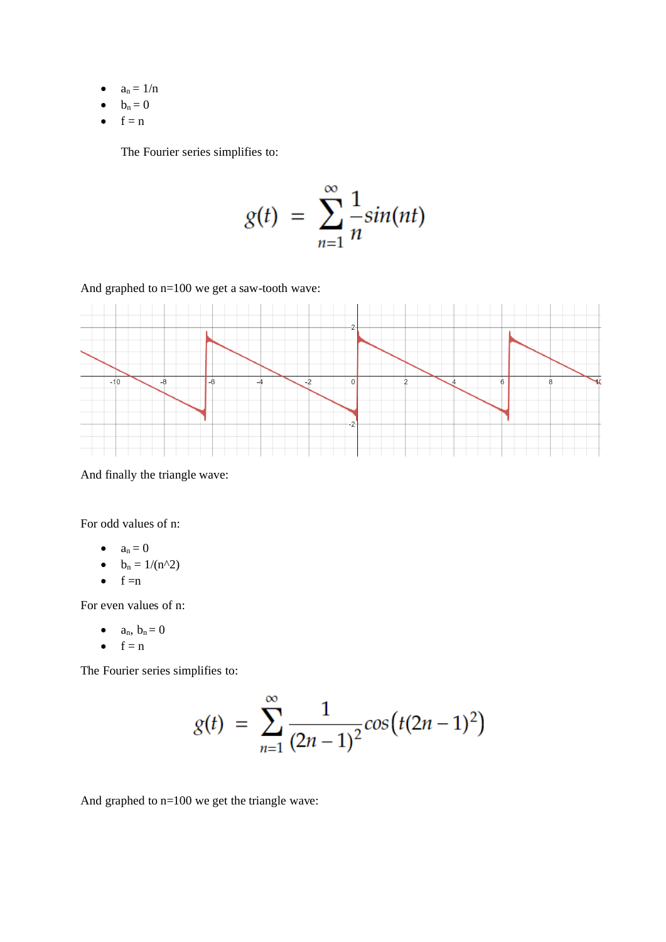- $\bullet$   $a_n = 1/n$
- $\bullet$   $b_n = 0$
- $\bullet$  f = n

The Fourier series simplifies to:

$$
g(t) = \sum_{n=1}^{\infty} \frac{1}{n} sin(nt)
$$

And graphed to n=100 we get a saw-tooth wave:



And finally the triangle wave:

For odd values of n:

- $a_n = 0$
- $b_n = 1/(n^2)$
- $\bullet$  f =n

For even values of n:

- $a_n$ ,  $b_n = 0$
- $\bullet$  f = n

The Fourier series simplifies to:

$$
g(t) = \sum_{n=1}^{\infty} \frac{1}{(2n-1)^2} \cos\left(t(2n-1)^2\right)
$$

And graphed to n=100 we get the triangle wave: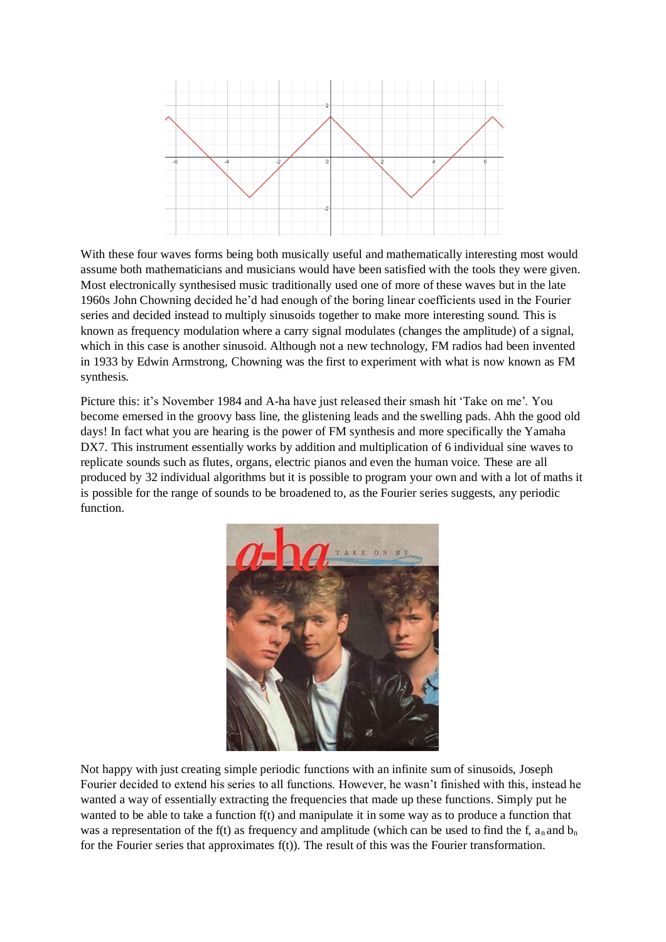

With these four waves forms being both musically useful and mathematically interesting most would assume both mathematicians and musicians would have been satisfied with the tools they were given. Most electronically synthesised music traditionally used one of more of these waves but in the late 1960s John Chowning decided he'd had enough of the boring linear coefficients used in the Fourier series and decided instead to multiply sinusoids together to make more interesting sound. This is known as frequency modulation where a carry signal modulates (changes the amplitude) of a signal, which in this case is another sinusoid. Although not a new technology, FM radios had been invented in 1933 by Edwin Armstrong, Chowning was the first to experiment with what is now known as FM synthesis.

Picture this: it's November 1984 and A-ha have just released their smash hit 'Take on me'. You become emersed in the groovy bass line, the glistening leads and the swelling pads. Ahh the good old days! In fact what you are hearing is the power of FM synthesis and more specifically the Yamaha DX7. This instrument essentially works by addition and multiplication of 6 individual sine waves to replicate sounds such as flutes, organs, electric pianos and even the human voice. These are all produced by 32 individual algorithms but it is possible to program your own and with a lot of maths it is possible for the range of sounds to be broadened to, as the Fourier series suggests, any periodic function.



Not happy with just creating simple periodic functions with an infinite sum of sinusoids, Joseph Fourier decided to extend his series to all functions. However, he wasn't finished with this, instead he wanted a way of essentially extracting the frequencies that made up these functions. Simply put he wanted to be able to take a function f(t) and manipulate it in some way as to produce a function that was a representation of the f(t) as frequency and amplitude (which can be used to find the f,  $a_n$  and  $b_n$ for the Fourier series that approximates  $f(t)$ ). The result of this was the Fourier transformation.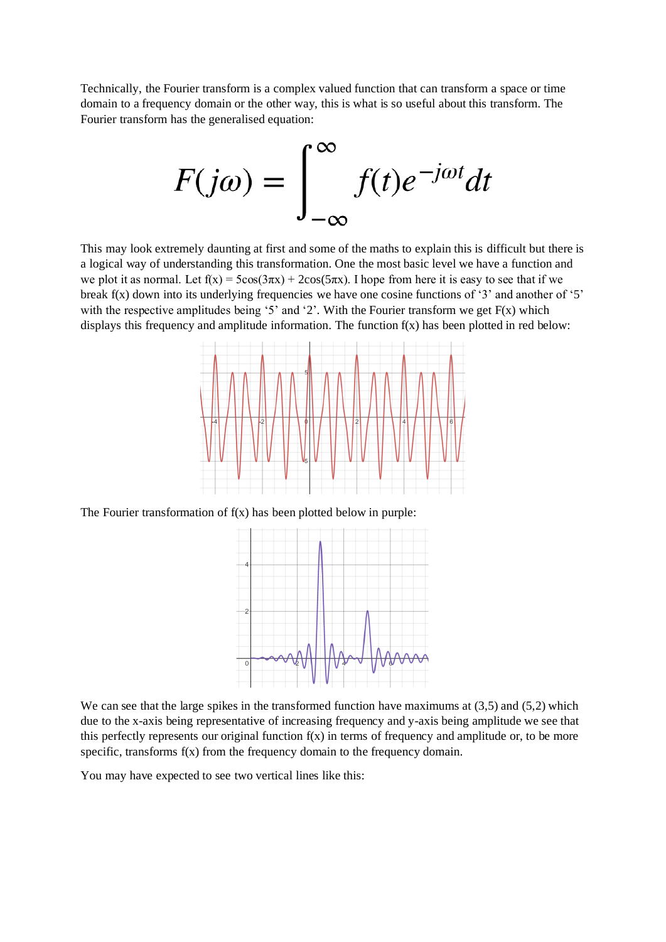Technically, the Fourier transform is a complex valued function that can transform a space or time domain to a frequency domain or the other way, this is what is so useful about this transform. The Fourier transform has the generalised equation:



This may look extremely daunting at first and some of the maths to explain this is difficult but there is a logical way of understanding this transformation. One the most basic level we have a function and we plot it as normal. Let  $f(x) = 5\cos(3\pi x) + 2\cos(5\pi x)$ . I hope from here it is easy to see that if we break f(x) down into its underlying frequencies we have one cosine functions of '3' and another of '5' with the respective amplitudes being '5' and '2'. With the Fourier transform we get  $F(x)$  which displays this frequency and amplitude information. The function  $f(x)$  has been plotted in red below:



The Fourier transformation of  $f(x)$  has been plotted below in purple:



We can see that the large spikes in the transformed function have maximums at  $(3,5)$  and  $(5,2)$  which due to the x-axis being representative of increasing frequency and y-axis being amplitude we see that this perfectly represents our original function  $f(x)$  in terms of frequency and amplitude or, to be more specific, transforms f(x) from the frequency domain to the frequency domain.

You may have expected to see two vertical lines like this: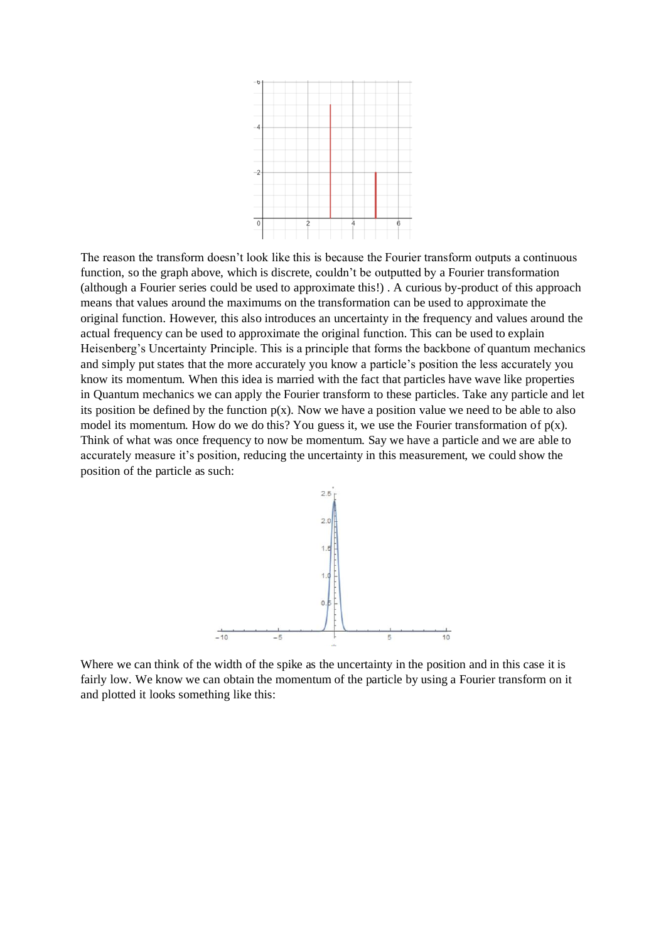

The reason the transform doesn't look like this is because the Fourier transform outputs a continuous function, so the graph above, which is discrete, couldn't be outputted by a Fourier transformation (although a Fourier series could be used to approximate this!) . A curious by-product of this approach means that values around the maximums on the transformation can be used to approximate the original function. However, this also introduces an uncertainty in the frequency and values around the actual frequency can be used to approximate the original function. This can be used to explain Heisenberg's Uncertainty Principle. This is a principle that forms the backbone of quantum mechanics and simply put states that the more accurately you know a particle's position the less accurately you know its momentum. When this idea is married with the fact that particles have wave like properties in Quantum mechanics we can apply the Fourier transform to these particles. Take any particle and let its position be defined by the function  $p(x)$ . Now we have a position value we need to be able to also model its momentum. How do we do this? You guess it, we use the Fourier transformation of  $p(x)$ . Think of what was once frequency to now be momentum. Say we have a particle and we are able to accurately measure it's position, reducing the uncertainty in this measurement, we could show the position of the particle as such:



Where we can think of the width of the spike as the uncertainty in the position and in this case it is fairly low. We know we can obtain the momentum of the particle by using a Fourier transform on it and plotted it looks something like this: